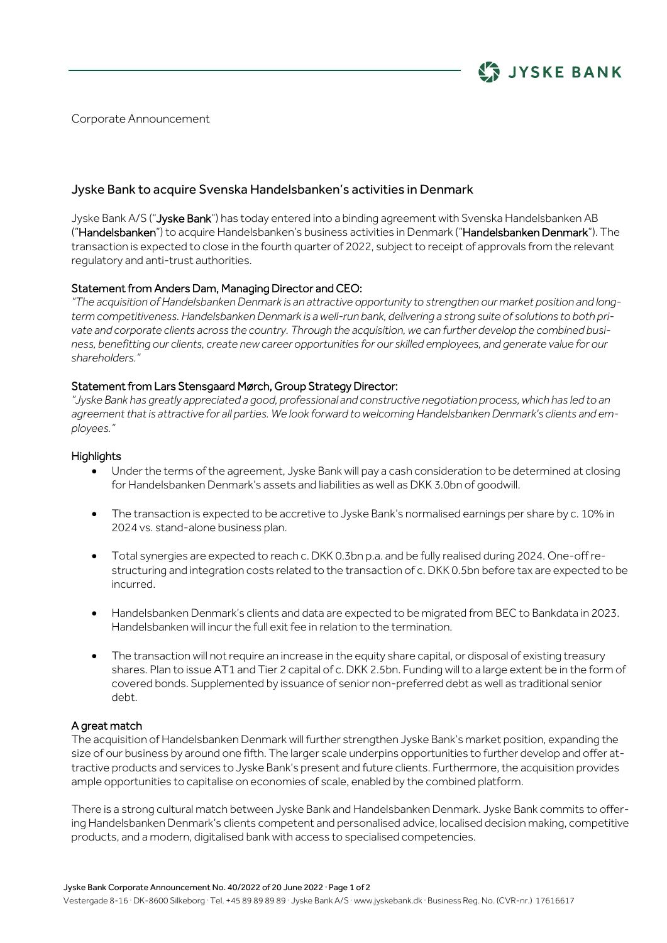

Corporate Announcement

# Jyske Bank to acquire Svenska Handelsbanken's activities in Denmark

Jyske Bank A/S ("Jyske Bank") has today entered into a binding agreement with Svenska Handelsbanken AB ("Handelsbanken") to acquire Handelsbanken's business activities in Denmark ("Handelsbanken Denmark"). The transaction is expected to close in the fourth quarter of 2022, subject to receipt of approvals from the relevant regulatory and anti-trust authorities.

## Statement from Anders Dam, Managing Director and CEO:

*"The acquisition of Handelsbanken Denmark is an attractive opportunity to strengthen our market position and longterm competitiveness. Handelsbanken Denmark is a well-run bank, delivering a strong suite of solutions to both private and corporate clients across the country. Through the acquisition, we can further develop the combined business, benefitting our clients, create new career opportunities for our skilled employees, and generate value for our shareholders."*

## Statement from Lars Stensgaard Mørch, Group Strategy Director:

*"Jyske Bank has greatly appreciated a good, professional and constructive negotiation process, which has led to an*  agreement that is attractive for all parties. We look forward to welcoming Handelsbanken Denmark's clients and em*ployees."*

## **Highlights**

- Under the terms of the agreement, Jyske Bank will pay a cash consideration to be determined at closing for Handelsbanken Denmark's assets and liabilities as well as DKK 3.0bn of goodwill.
- The transaction is expected to be accretive to Jyske Bank's normalised earnings per share by c. 10% in 2024 vs. stand-alone business plan.
- Total synergies are expected to reach c. DKK 0.3bn p.a. and be fully realised during 2024. One-off restructuring and integration costs related to the transaction of c. DKK 0.5bn before tax are expected to be incurred.
- Handelsbanken Denmark's clients and data are expected to be migrated from BEC to Bankdata in 2023. Handelsbanken will incur the full exit fee in relation to the termination.
- The transaction will not require an increase in the equity share capital, or disposal of existing treasury shares. Plan to issue AT1 and Tier 2 capital of c. DKK 2.5bn. Funding will to a large extent be in the form of covered bonds. Supplemented by issuance of senior non-preferred debt as well as traditional senior debt.

## A great match

The acquisition of Handelsbanken Denmark will further strengthen Jyske Bank's market position, expanding the size of our business by around one fifth. The larger scale underpins opportunities to further develop and offer attractive products and services to Jyske Bank's present and future clients. Furthermore, the acquisition provides ample opportunities to capitalise on economies of scale, enabled by the combined platform.

There is a strong cultural match between Jyske Bank and Handelsbanken Denmark. Jyske Bank commits to offering Handelsbanken Denmark's clients competent and personalised advice, localised decision making, competitive products, and a modern, digitalised bank with access to specialised competencies.